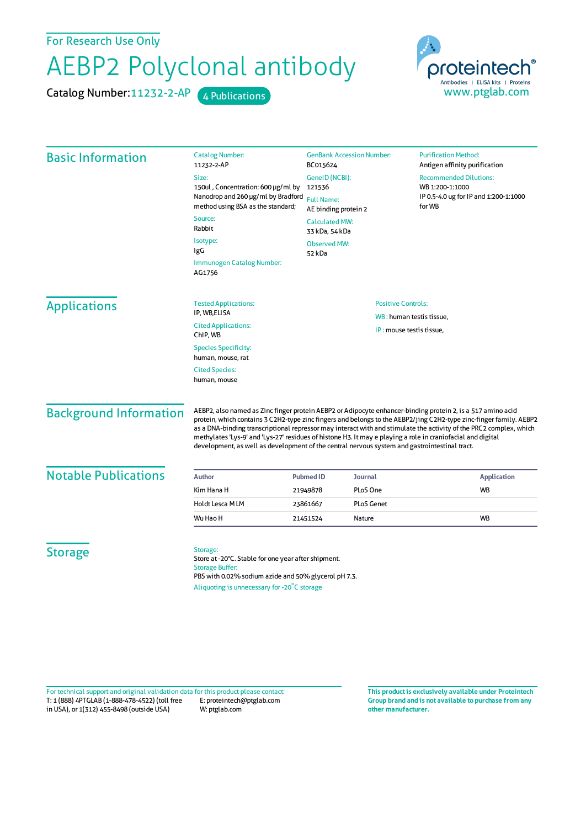For Research Use Only

## AEBP2 Polyclonal antibody

Catalog Number: 11232-2-AP 4 Publications



| <b>Basic Information</b>                                           | <b>Catalog Number:</b><br>11232-2-AP                                                                                                                                                                                                                                                                                                                                                                                                                                                                                                                                    | <b>GenBank Accession Number:</b><br>BC015624<br>GeneID (NCBI):<br>121536<br><b>Full Name:</b><br>AE binding protein 2<br><b>Calculated MW:</b><br>33 kDa, 54 kDa<br><b>Observed MW:</b><br>52 kDa |                   | <b>Purification Method:</b><br>Antigen affinity purification<br><b>Recommended Dilutions:</b><br>WB 1:200-1:1000<br>IP 0.5-4.0 ug for IP and 1:200-1:1000<br>for WB |                                     |                             |  |                           |
|--------------------------------------------------------------------|-------------------------------------------------------------------------------------------------------------------------------------------------------------------------------------------------------------------------------------------------------------------------------------------------------------------------------------------------------------------------------------------------------------------------------------------------------------------------------------------------------------------------------------------------------------------------|---------------------------------------------------------------------------------------------------------------------------------------------------------------------------------------------------|-------------------|---------------------------------------------------------------------------------------------------------------------------------------------------------------------|-------------------------------------|-----------------------------|--|---------------------------|
|                                                                    | Size:                                                                                                                                                                                                                                                                                                                                                                                                                                                                                                                                                                   |                                                                                                                                                                                                   |                   |                                                                                                                                                                     |                                     |                             |  |                           |
|                                                                    | 150ul, Concentration: 600 µg/ml by<br>Nanodrop and 260 µg/ml by Bradford<br>method using BSA as the standard;<br>Source:<br>Rabbit<br>Isotype:<br>IgG                                                                                                                                                                                                                                                                                                                                                                                                                   |                                                                                                                                                                                                   |                   |                                                                                                                                                                     |                                     |                             |  |                           |
|                                                                    |                                                                                                                                                                                                                                                                                                                                                                                                                                                                                                                                                                         |                                                                                                                                                                                                   |                   |                                                                                                                                                                     | Immunogen Catalog Number:<br>AG1756 |                             |  |                           |
|                                                                    |                                                                                                                                                                                                                                                                                                                                                                                                                                                                                                                                                                         |                                                                                                                                                                                                   |                   |                                                                                                                                                                     | <b>Applications</b>                 | <b>Tested Applications:</b> |  | <b>Positive Controls:</b> |
|                                                                    | IP, WB,ELISA                                                                                                                                                                                                                                                                                                                                                                                                                                                                                                                                                            | WB: human testis tissue,                                                                                                                                                                          |                   |                                                                                                                                                                     |                                     |                             |  |                           |
| <b>Cited Applications:</b><br>IP: mouse testis tissue,<br>ChIP, WB |                                                                                                                                                                                                                                                                                                                                                                                                                                                                                                                                                                         |                                                                                                                                                                                                   |                   |                                                                                                                                                                     |                                     |                             |  |                           |
| <b>Species Specificity:</b><br>human, mouse, rat                   |                                                                                                                                                                                                                                                                                                                                                                                                                                                                                                                                                                         |                                                                                                                                                                                                   |                   |                                                                                                                                                                     |                                     |                             |  |                           |
| <b>Cited Species:</b><br>human, mouse                              |                                                                                                                                                                                                                                                                                                                                                                                                                                                                                                                                                                         |                                                                                                                                                                                                   |                   |                                                                                                                                                                     |                                     |                             |  |                           |
| <b>Background Information</b>                                      | AEBP2, also named as Zinc finger protein AEBP2 or Adipocyte enhancer-binding protein 2, is a 517 amino acid<br>protein, which contains 3 C2H2-type zinc fingers and belongs to the AEBP2/jing C2H2-type zinc-finger family. AEBP2<br>as a DNA-binding transcriptional repressor may interact with and stimulate the activity of the PRC2 complex, which<br>methylates 'Lys-9' and 'Lys-27' residues of histone H3. It may e playing a role in craniofacial and digital<br>development, as well as development of the central nervous system and gastrointestinal tract. |                                                                                                                                                                                                   |                   |                                                                                                                                                                     |                                     |                             |  |                           |
| <b>Notable Publications</b>                                        | <b>Author</b>                                                                                                                                                                                                                                                                                                                                                                                                                                                                                                                                                           | <b>Pubmed ID</b>                                                                                                                                                                                  | <b>Journal</b>    | <b>Application</b>                                                                                                                                                  |                                     |                             |  |                           |
|                                                                    | Kim Hana H                                                                                                                                                                                                                                                                                                                                                                                                                                                                                                                                                              | 21949878                                                                                                                                                                                          | PLoS One          | <b>WB</b>                                                                                                                                                           |                                     |                             |  |                           |
|                                                                    | Holdt Lesca MLM                                                                                                                                                                                                                                                                                                                                                                                                                                                                                                                                                         | 23861667                                                                                                                                                                                          | <b>PLoS Genet</b> |                                                                                                                                                                     |                                     |                             |  |                           |
|                                                                    | Wu Hao H                                                                                                                                                                                                                                                                                                                                                                                                                                                                                                                                                                | 21451524<br>Nature                                                                                                                                                                                |                   | <b>WB</b>                                                                                                                                                           |                                     |                             |  |                           |
| <b>Storage</b>                                                     | Storage:<br>Store at -20°C. Stable for one year after shipment.<br><b>Storage Buffer:</b><br>PBS with 0.02% sodium azide and 50% glycerol pH 7.3.<br>Aliquoting is unnecessary for -20°C storage                                                                                                                                                                                                                                                                                                                                                                        |                                                                                                                                                                                                   |                   |                                                                                                                                                                     |                                     |                             |  |                           |

T: 1 (888) 4PTGLAB (1-888-478-4522) (toll free in USA), or 1(312) 455-8498 (outside USA) E: proteintech@ptglab.com W: ptglab.com Fortechnical support and original validation data forthis product please contact: **This productis exclusively available under Proteintech**

**Group brand and is not available to purchase from any other manufacturer.**